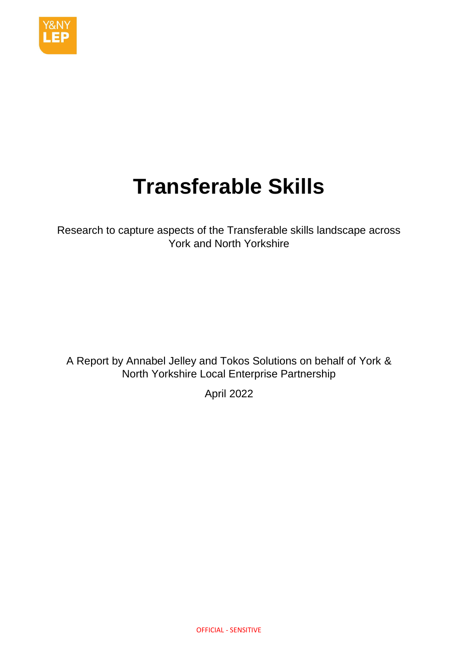

# **Transferable Skills**

Research to capture aspects of the Transferable skills landscape across York and North Yorkshire

A Report by Annabel Jelley and Tokos Solutions on behalf of York & North Yorkshire Local Enterprise Partnership

April 2022

OFFICIAL - SENSITIVE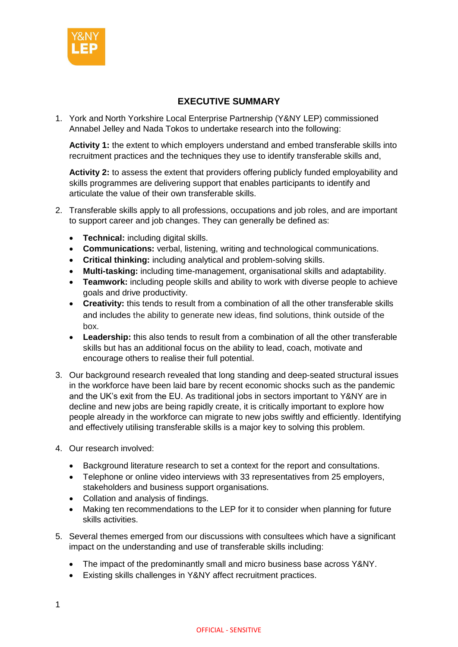

# **EXECUTIVE SUMMARY**

<span id="page-1-0"></span>1. York and North Yorkshire Local Enterprise Partnership (Y&NY LEP) commissioned Annabel Jelley and Nada Tokos to undertake research into the following:

**Activity 1:** the extent to which employers understand and embed transferable skills into recruitment practices and the techniques they use to identify transferable skills and,

**Activity 2:** to assess the extent that providers offering publicly funded employability and skills programmes are delivering support that enables participants to identify and articulate the value of their own transferable skills.

- 2. Transferable skills apply to all professions, occupations and job roles, and are important to support career and job changes. They can generally be defined as:
	- **Technical:** including digital skills.
	- **Communications:** verbal, listening, writing and technological communications.
	- **Critical thinking:** including analytical and problem-solving skills.
	- **Multi-tasking:** including time-management, organisational skills and adaptability.
	- **Teamwork:** including people skills and ability to work with diverse people to achieve goals and drive productivity.
	- **Creativity:** this tends to result from a combination of all the other transferable skills and includes the ability to generate new ideas, find solutions, think outside of the box.
	- **Leadership:** this also tends to result from a combination of all the other transferable skills but has an additional focus on the ability to lead, coach, motivate and encourage others to realise their full potential.
- 3. Our background research revealed that long standing and deep-seated structural issues in the workforce have been laid bare by recent economic shocks such as the pandemic and the UK's exit from the EU. As traditional jobs in sectors important to Y&NY are in decline and new jobs are being rapidly create, it is critically important to explore how people already in the workforce can migrate to new jobs swiftly and efficiently. Identifying and effectively utilising transferable skills is a major key to solving this problem.
- 4. Our research involved:
	- Background literature research to set a context for the report and consultations.
	- Telephone or online video interviews with 33 representatives from 25 employers, stakeholders and business support organisations.
	- Collation and analysis of findings.
	- Making ten recommendations to the LEP for it to consider when planning for future skills activities.
- 5. Several themes emerged from our discussions with consultees which have a significant impact on the understanding and use of transferable skills including:
	- The impact of the predominantly small and micro business base across Y&NY.
	- Existing skills challenges in Y&NY affect recruitment practices.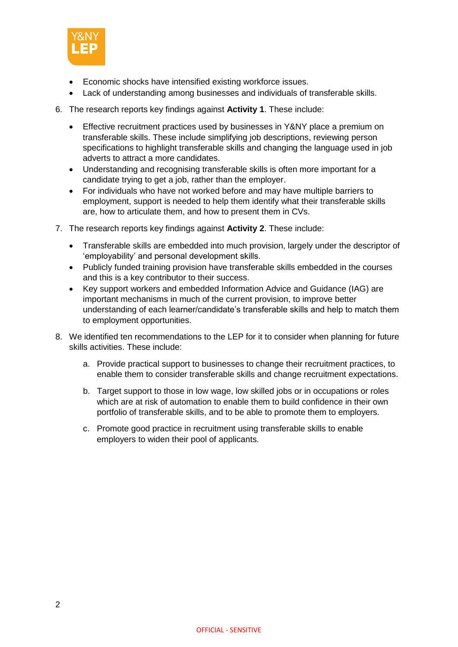

- Economic shocks have intensified existing workforce issues.
- Lack of understanding among businesses and individuals of transferable skills.
- 6. The research reports key findings against **Activity 1**. These include:
	- Effective recruitment practices used by businesses in Y&NY place a premium on transferable skills. These include simplifying job descriptions, reviewing person specifications to highlight transferable skills and changing the language used in job adverts to attract a more candidates.
	- Understanding and recognising transferable skills is often more important for a candidate trying to get a job, rather than the employer.
	- For individuals who have not worked before and may have multiple barriers to employment, support is needed to help them identify what their transferable skills are, how to articulate them, and how to present them in CVs.
- 7. The research reports key findings against **Activity 2**. These include:
	- Transferable skills are embedded into much provision, largely under the descriptor of 'employability' and personal development skills.
	- Publicly funded training provision have transferable skills embedded in the courses and this is a key contributor to their success.
	- Key support workers and embedded Information Advice and Guidance (IAG) are important mechanisms in much of the current provision, to improve better understanding of each learner/candidate's transferable skills and help to match them to employment opportunities.
- 8. We identified ten recommendations to the LEP for it to consider when planning for future skills activities. These include:
	- a. Provide practical support to businesses to change their recruitment practices, to enable them to consider transferable skills and change recruitment expectations.
	- b. Target support to those in low wage, low skilled jobs or in occupations or roles which are at risk of automation to enable them to build confidence in their own portfolio of transferable skills, and to be able to promote them to employers.
	- c. Promote good practice in recruitment using transferable skills to enable employers to widen their pool of applicants.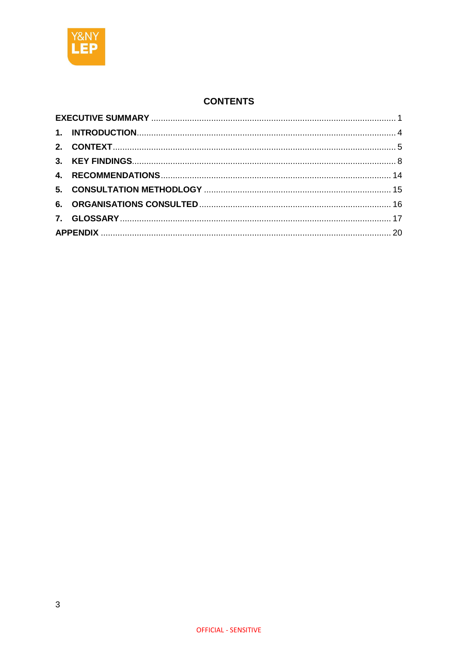

# **CONTENTS**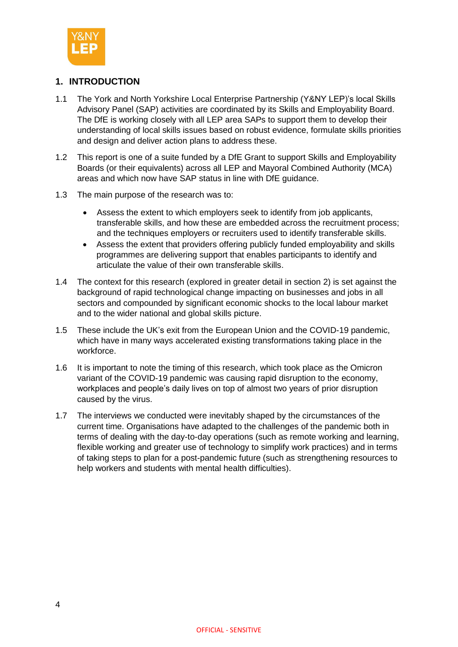

# <span id="page-4-0"></span>**1. INTRODUCTION**

- 1.1 The York and North Yorkshire Local Enterprise Partnership (Y&NY LEP)'s local Skills Advisory Panel (SAP) activities are coordinated by its Skills and Employability Board. The DfE is working closely with all LEP area SAPs to support them to develop their understanding of local skills issues based on robust evidence, formulate skills priorities and design and deliver action plans to address these.
- 1.2 This report is one of a suite funded by a DfE Grant to support Skills and Employability Boards (or their equivalents) across all LEP and Mayoral Combined Authority (MCA) areas and which now have SAP status in line with DfE guidance.
- 1.3 The main purpose of the research was to:
	- Assess the extent to which employers seek to identify from job applicants, transferable skills, and how these are embedded across the recruitment process; and the techniques employers or recruiters used to identify transferable skills.
	- Assess the extent that providers offering publicly funded employability and skills programmes are delivering support that enables participants to identify and articulate the value of their own transferable skills.
- 1.4 The context for this research (explored in greater detail in section 2) is set against the background of rapid technological change impacting on businesses and jobs in all sectors and compounded by significant economic shocks to the local labour market and to the wider national and global skills picture.
- 1.5 These include the UK's exit from the European Union and the COVID-19 pandemic, which have in many ways accelerated existing transformations taking place in the workforce.
- 1.6 It is important to note the timing of this research, which took place as the Omicron variant of the COVID-19 pandemic was causing rapid disruption to the economy, workplaces and people's daily lives on top of almost two years of prior disruption caused by the virus.
- 1.7 The interviews we conducted were inevitably shaped by the circumstances of the current time. Organisations have adapted to the challenges of the pandemic both in terms of dealing with the day-to-day operations (such as remote working and learning, flexible working and greater use of technology to simplify work practices) and in terms of taking steps to plan for a post-pandemic future (such as strengthening resources to help workers and students with mental health difficulties).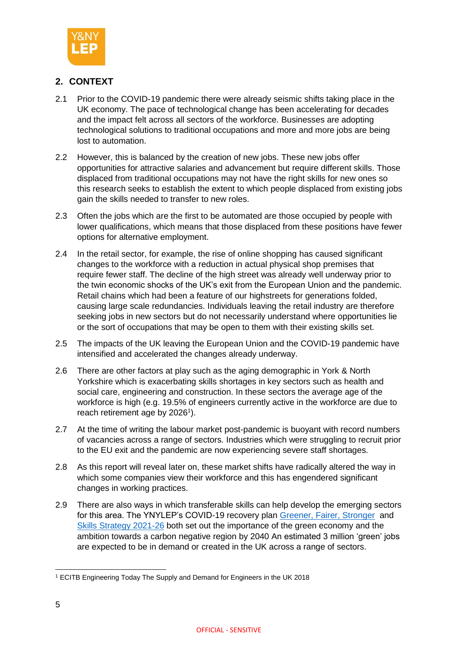

# <span id="page-5-0"></span>**2. CONTEXT**

- 2.1 Prior to the COVID-19 pandemic there were already seismic shifts taking place in the UK economy. The pace of technological change has been accelerating for decades and the impact felt across all sectors of the workforce. Businesses are adopting technological solutions to traditional occupations and more and more jobs are being lost to automation.
- 2.2 However, this is balanced by the creation of new jobs. These new jobs offer opportunities for attractive salaries and advancement but require different skills. Those displaced from traditional occupations may not have the right skills for new ones so this research seeks to establish the extent to which people displaced from existing jobs gain the skills needed to transfer to new roles.
- 2.3 Often the jobs which are the first to be automated are those occupied by people with lower qualifications, which means that those displaced from these positions have fewer options for alternative employment.
- 2.4 In the retail sector, for example, the rise of online shopping has caused significant changes to the workforce with a reduction in actual physical shop premises that require fewer staff. The decline of the high street was already well underway prior to the twin economic shocks of the UK's exit from the European Union and the pandemic. Retail chains which had been a feature of our highstreets for generations folded, causing large scale redundancies. Individuals leaving the retail industry are therefore seeking jobs in new sectors but do not necessarily understand where opportunities lie or the sort of occupations that may be open to them with their existing skills set.
- 2.5 The impacts of the UK leaving the European Union and the COVID-19 pandemic have intensified and accelerated the changes already underway.
- 2.6 There are other factors at play such as the aging demographic in York & North Yorkshire which is exacerbating skills shortages in key sectors such as health and social care, engineering and construction. In these sectors the average age of the workforce is high (e.g. 19.5% of engineers currently active in the workforce are due to reach retirement age by 2026<sup>1</sup>).
- 2.7 At the time of writing the labour market post-pandemic is buoyant with record numbers of vacancies across a range of sectors. Industries which were struggling to recruit prior to the EU exit and the pandemic are now experiencing severe staff shortages.
- 2.8 As this report will reveal later on, these market shifts have radically altered the way in which some companies view their workforce and this has engendered significant changes in working practices.
- 2.9 There are also ways in which transferable skills can help develop the emerging sectors for this area. The YNYLEP's COVID-19 recovery plan [Greener, Fairer, Stronger](https://www.ynylep.com/Portals/0/adam/LayoutApp/mwbm6H5MxUyYgcuXPMqDcw/ButtonLink/Version-2.2-30-October-2020.pdf) and [Skills Strategy 2021-26](https://www.ynylep.com/Portals/0/adam/Stories/ZQPApUovwk6VFupP83waOQ/Body/83179-LEP-Skills-strategy-brochure-A4-2021-2026_LANDSCAPE_v3.pdf) both set out the importance of the green economy and the ambition towards a carbon negative region by 2040 An estimated 3 million 'green' jobs are expected to be in demand or created in the UK across a range of sectors.

**<sup>.</sup>** <sup>1</sup> ECITB Engineering Today The Supply and Demand for Engineers in the UK 2018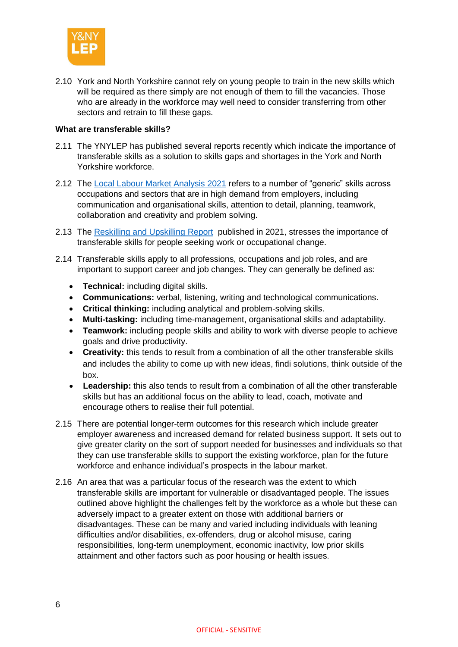

2.10 York and North Yorkshire cannot rely on young people to train in the new skills which will be required as there simply are not enough of them to fill the vacancies. Those who are already in the workforce may well need to consider transferring from other sectors and retrain to fill these gaps.

#### **What are transferable skills?**

- 2.11 The YNYLEP has published several reports recently which indicate the importance of transferable skills as a solution to skills gaps and shortages in the York and North Yorkshire workforce.
- 2.12 The [Local Labour Market Analysis 2021](https://www.ynylep.com/Portals/0/adam/Stories/OhqqpV3Rg0aL68WCU08pNA/Body/83388%20LEP%20Labour%20Market%20Analysis%202021%20A4_single%20pages.pdf) refers to a number of "generic" skills across occupations and sectors that are in high demand from employers, including communication and organisational skills, attention to detail, planning, teamwork, collaboration and creativity and problem solving.
- 2.13 The [Reskilling and Upskilling Report](https://www.ynylep.com/Portals/0/adam/Stories/OhqqpV3Rg0aL68WCU08pNA/Body/YNY%20Re.Upskill%20report.%20Publication.%20Mar21.pdf) published in 2021, stresses the importance of transferable skills for people seeking work or occupational change.
- 2.14 Transferable skills apply to all professions, occupations and job roles, and are important to support career and job changes. They can generally be defined as:
	- **Technical:** including digital skills.
	- **Communications:** verbal, listening, writing and technological communications.
	- **Critical thinking:** including analytical and problem-solving skills.
	- **Multi-tasking:** including time-management, organisational skills and adaptability.
	- **Teamwork:** including people skills and ability to work with diverse people to achieve goals and drive productivity.
	- **Creativity:** this tends to result from a combination of all the other transferable skills and includes the ability to come up with new ideas, findi solutions, think outside of the box.
	- **Leadership:** this also tends to result from a combination of all the other transferable skills but has an additional focus on the ability to lead, coach, motivate and encourage others to realise their full potential.
- 2.15 There are potential longer-term outcomes for this research which include greater employer awareness and increased demand for related business support. It sets out to give greater clarity on the sort of support needed for businesses and individuals so that they can use transferable skills to support the existing workforce, plan for the future workforce and enhance individual's prospects in the labour market.
- 2.16 An area that was a particular focus of the research was the extent to which transferable skills are important for vulnerable or disadvantaged people. The issues outlined above highlight the challenges felt by the workforce as a whole but these can adversely impact to a greater extent on those with additional barriers or disadvantages. These can be many and varied including individuals with leaning difficulties and/or disabilities, ex-offenders, drug or alcohol misuse, caring responsibilities, long-term unemployment, economic inactivity, low prior skills attainment and other factors such as poor housing or health issues.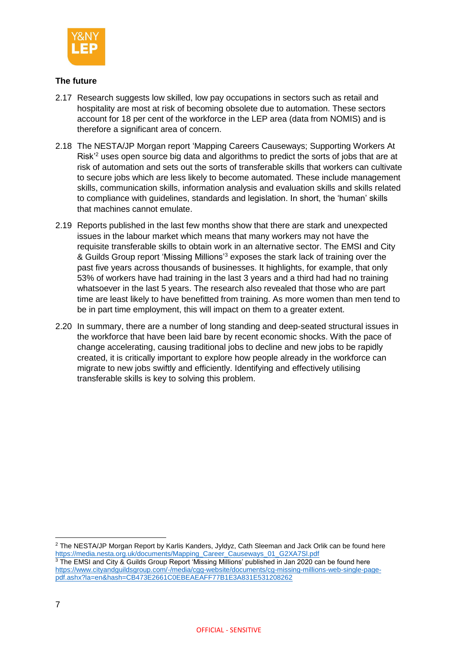

# **The future**

- 2.17 Research suggests low skilled, low pay occupations in sectors such as retail and hospitality are most at risk of becoming obsolete due to automation. These sectors account for 18 per cent of the workforce in the LEP area (data from NOMIS) and is therefore a significant area of concern.
- 2.18 The NESTA/JP Morgan report 'Mapping Careers Causeways; Supporting Workers At Risk<sup>'2</sup> uses open source big data and algorithms to predict the sorts of jobs that are at risk of automation and sets out the sorts of transferable skills that workers can cultivate to secure jobs which are less likely to become automated. These include management skills, communication skills, information analysis and evaluation skills and skills related to compliance with guidelines, standards and legislation. In short, the 'human' skills that machines cannot emulate.
- 2.19 Reports published in the last few months show that there are stark and unexpected issues in the labour market which means that many workers may not have the requisite transferable skills to obtain work in an alternative sector. The EMSI and City & Guilds Group report 'Missing Millions'<sup>3</sup> exposes the stark lack of training over the past five years across thousands of businesses. It highlights, for example, that only 53% of workers have had training in the last 3 years and a third had had no training whatsoever in the last 5 years. The research also revealed that those who are part time are least likely to have benefitted from training. As more women than men tend to be in part time employment, this will impact on them to a greater extent.
- 2.20 In summary, there are a number of long standing and deep-seated structural issues in the workforce that have been laid bare by recent economic shocks. With the pace of change accelerating, causing traditional jobs to decline and new jobs to be rapidly created, it is critically important to explore how people already in the workforce can migrate to new jobs swiftly and efficiently. Identifying and effectively utilising transferable skills is key to solving this problem.

<sup>2</sup> The NESTA/JP Morgan Report by Karlis Kanders, Jyldyz, Cath Sleeman and Jack Orlik can be found here [https://media.nesta.org.uk/documents/Mapping\\_Career\\_Causeways\\_01\\_G2XA7Sl.pdf](https://media.nesta.org.uk/documents/Mapping_Career_Causeways_01_G2XA7Sl.pdf) <sup>3</sup> The EMSI and City & Guilds Group Report 'Missing Millions' published in Jan 2020 can be found here [https://www.cityandguildsgroup.com/-/media/cgg-website/documents/cg-missing-millions-web-single-page](https://www.cityandguildsgroup.com/-/media/cgg-website/documents/cg-missing-millions-web-single-page-pdf.ashx?la=en&hash=CB473E2661C0EBEAEAFF77B1E3A831E531208262)[pdf.ashx?la=en&hash=CB473E2661C0EBEAEAFF77B1E3A831E531208262](https://www.cityandguildsgroup.com/-/media/cgg-website/documents/cg-missing-millions-web-single-page-pdf.ashx?la=en&hash=CB473E2661C0EBEAEAFF77B1E3A831E531208262)

 $\overline{a}$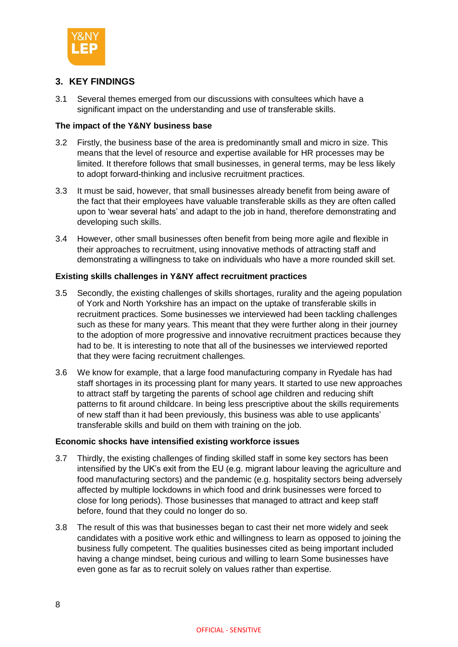

# <span id="page-8-0"></span>**3. KEY FINDINGS**

3.1 Several themes emerged from our discussions with consultees which have a significant impact on the understanding and use of transferable skills.

#### **The impact of the Y&NY business base**

- 3.2 Firstly, the business base of the area is predominantly small and micro in size. This means that the level of resource and expertise available for HR processes may be limited. It therefore follows that small businesses, in general terms, may be less likely to adopt forward-thinking and inclusive recruitment practices.
- 3.3 It must be said, however, that small businesses already benefit from being aware of the fact that their employees have valuable transferable skills as they are often called upon to 'wear several hats' and adapt to the job in hand, therefore demonstrating and developing such skills.
- 3.4 However, other small businesses often benefit from being more agile and flexible in their approaches to recruitment, using innovative methods of attracting staff and demonstrating a willingness to take on individuals who have a more rounded skill set.

# **Existing skills challenges in Y&NY affect recruitment practices**

- 3.5 Secondly, the existing challenges of skills shortages, rurality and the ageing population of York and North Yorkshire has an impact on the uptake of transferable skills in recruitment practices. Some businesses we interviewed had been tackling challenges such as these for many years. This meant that they were further along in their journey to the adoption of more progressive and innovative recruitment practices because they had to be. It is interesting to note that all of the businesses we interviewed reported that they were facing recruitment challenges.
- 3.6 We know for example, that a large food manufacturing company in Ryedale has had staff shortages in its processing plant for many years. It started to use new approaches to attract staff by targeting the parents of school age children and reducing shift patterns to fit around childcare. In being less prescriptive about the skills requirements of new staff than it had been previously, this business was able to use applicants' transferable skills and build on them with training on the job.

#### **Economic shocks have intensified existing workforce issues**

- 3.7 Thirdly, the existing challenges of finding skilled staff in some key sectors has been intensified by the UK's exit from the EU (e.g. migrant labour leaving the agriculture and food manufacturing sectors) and the pandemic (e.g. hospitality sectors being adversely affected by multiple lockdowns in which food and drink businesses were forced to close for long periods). Those businesses that managed to attract and keep staff before, found that they could no longer do so.
- 3.8 The result of this was that businesses began to cast their net more widely and seek candidates with a positive work ethic and willingness to learn as opposed to joining the business fully competent. The qualities businesses cited as being important included having a change mindset, being curious and willing to learn Some businesses have even gone as far as to recruit solely on values rather than expertise.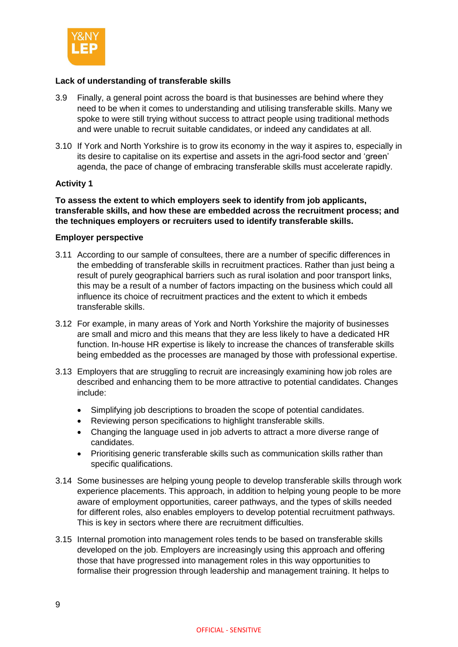

# **Lack of understanding of transferable skills**

- 3.9 Finally, a general point across the board is that businesses are behind where they need to be when it comes to understanding and utilising transferable skills. Many we spoke to were still trying without success to attract people using traditional methods and were unable to recruit suitable candidates, or indeed any candidates at all.
- 3.10 If York and North Yorkshire is to grow its economy in the way it aspires to, especially in its desire to capitalise on its expertise and assets in the agri-food sector and 'green' agenda, the pace of change of embracing transferable skills must accelerate rapidly.

# **Activity 1**

**To assess the extent to which employers seek to identify from job applicants, transferable skills, and how these are embedded across the recruitment process; and the techniques employers or recruiters used to identify transferable skills.**

#### **Employer perspective**

- 3.11 According to our sample of consultees, there are a number of specific differences in the embedding of transferable skills in recruitment practices. Rather than just being a result of purely geographical barriers such as rural isolation and poor transport links, this may be a result of a number of factors impacting on the business which could all influence its choice of recruitment practices and the extent to which it embeds transferable skills.
- 3.12 For example, in many areas of York and North Yorkshire the majority of businesses are small and micro and this means that they are less likely to have a dedicated HR function. In-house HR expertise is likely to increase the chances of transferable skills being embedded as the processes are managed by those with professional expertise.
- 3.13 Employers that are struggling to recruit are increasingly examining how job roles are described and enhancing them to be more attractive to potential candidates. Changes include:
	- Simplifying job descriptions to broaden the scope of potential candidates.
	- Reviewing person specifications to highlight transferable skills.
	- Changing the language used in job adverts to attract a more diverse range of candidates.
	- Prioritising generic transferable skills such as communication skills rather than specific qualifications.
- 3.14 Some businesses are helping young people to develop transferable skills through work experience placements. This approach, in addition to helping young people to be more aware of employment opportunities, career pathways, and the types of skills needed for different roles, also enables employers to develop potential recruitment pathways. This is key in sectors where there are recruitment difficulties.
- 3.15 Internal promotion into management roles tends to be based on transferable skills developed on the job. Employers are increasingly using this approach and offering those that have progressed into management roles in this way opportunities to formalise their progression through leadership and management training. It helps to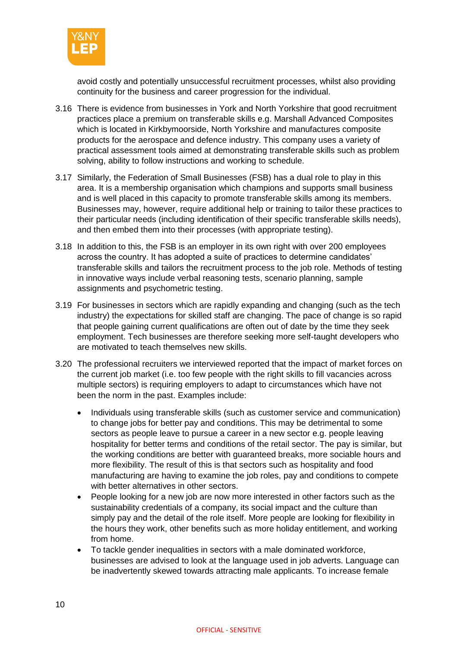

avoid costly and potentially unsuccessful recruitment processes, whilst also providing continuity for the business and career progression for the individual.

- 3.16 There is evidence from businesses in York and North Yorkshire that good recruitment practices place a premium on transferable skills e.g. Marshall Advanced Composites which is located in Kirkbymoorside, North Yorkshire and manufactures composite products for the aerospace and defence industry. This company uses a variety of practical assessment tools aimed at demonstrating transferable skills such as problem solving, ability to follow instructions and working to schedule.
- 3.17 Similarly, the Federation of Small Businesses (FSB) has a dual role to play in this area. It is a membership organisation which champions and supports small business and is well placed in this capacity to promote transferable skills among its members. Businesses may, however, require additional help or training to tailor these practices to their particular needs (including identification of their specific transferable skills needs), and then embed them into their processes (with appropriate testing).
- 3.18 In addition to this, the FSB is an employer in its own right with over 200 employees across the country. It has adopted a suite of practices to determine candidates' transferable skills and tailors the recruitment process to the job role. Methods of testing in innovative ways include verbal reasoning tests, scenario planning, sample assignments and psychometric testing.
- 3.19 For businesses in sectors which are rapidly expanding and changing (such as the tech industry) the expectations for skilled staff are changing. The pace of change is so rapid that people gaining current qualifications are often out of date by the time they seek employment. Tech businesses are therefore seeking more self-taught developers who are motivated to teach themselves new skills.
- 3.20 The professional recruiters we interviewed reported that the impact of market forces on the current job market (i.e. too few people with the right skills to fill vacancies across multiple sectors) is requiring employers to adapt to circumstances which have not been the norm in the past. Examples include:
	- Individuals using transferable skills (such as customer service and communication) to change jobs for better pay and conditions. This may be detrimental to some sectors as people leave to pursue a career in a new sector e.g. people leaving hospitality for better terms and conditions of the retail sector. The pay is similar, but the working conditions are better with guaranteed breaks, more sociable hours and more flexibility. The result of this is that sectors such as hospitality and food manufacturing are having to examine the job roles, pay and conditions to compete with better alternatives in other sectors.
	- People looking for a new job are now more interested in other factors such as the sustainability credentials of a company, its social impact and the culture than simply pay and the detail of the role itself. More people are looking for flexibility in the hours they work, other benefits such as more holiday entitlement, and working from home.
	- To tackle gender inequalities in sectors with a male dominated workforce, businesses are advised to look at the language used in job adverts. Language can be inadvertently skewed towards attracting male applicants. To increase female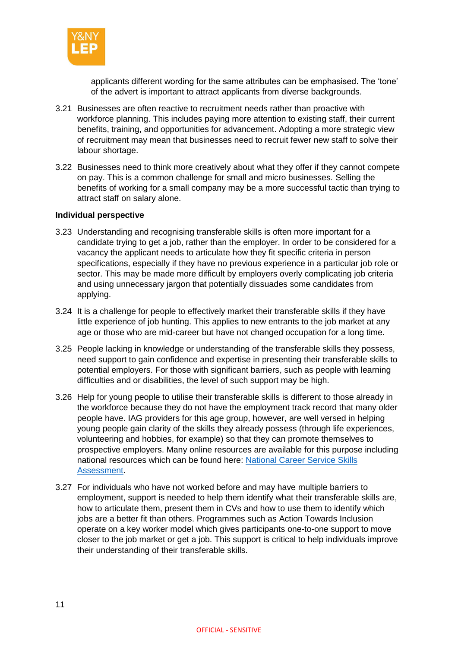

applicants different wording for the same attributes can be emphasised. The 'tone' of the advert is important to attract applicants from diverse backgrounds.

- 3.21 Businesses are often reactive to recruitment needs rather than proactive with workforce planning. This includes paying more attention to existing staff, their current benefits, training, and opportunities for advancement. Adopting a more strategic view of recruitment may mean that businesses need to recruit fewer new staff to solve their labour shortage.
- 3.22 Businesses need to think more creatively about what they offer if they cannot compete on pay. This is a common challenge for small and micro businesses. Selling the benefits of working for a small company may be a more successful tactic than trying to attract staff on salary alone.

#### **Individual perspective**

- 3.23 Understanding and recognising transferable skills is often more important for a candidate trying to get a job, rather than the employer. In order to be considered for a vacancy the applicant needs to articulate how they fit specific criteria in person specifications, especially if they have no previous experience in a particular job role or sector. This may be made more difficult by employers overly complicating job criteria and using unnecessary jargon that potentially dissuades some candidates from applying.
- 3.24 It is a challenge for people to effectively market their transferable skills if they have little experience of job hunting. This applies to new entrants to the job market at any age or those who are mid-career but have not changed occupation for a long time.
- 3.25 People lacking in knowledge or understanding of the transferable skills they possess, need support to gain confidence and expertise in presenting their transferable skills to potential employers. For those with significant barriers, such as people with learning difficulties and or disabilities, the level of such support may be high.
- 3.26 Help for young people to utilise their transferable skills is different to those already in the workforce because they do not have the employment track record that many older people have. IAG providers for this age group, however, are well versed in helping young people gain clarity of the skills they already possess (through life experiences, volunteering and hobbies, for example) so that they can promote themselves to prospective employers. Many online resources are available for this purpose including national resources which can be found here: [National Career Service Skills](https://nationalcareers.service.gov.uk/skills-assessment)  [Assessment.](https://nationalcareers.service.gov.uk/skills-assessment)
- 3.27 For individuals who have not worked before and may have multiple barriers to employment, support is needed to help them identify what their transferable skills are, how to articulate them, present them in CVs and how to use them to identify which jobs are a better fit than others. Programmes such as Action Towards Inclusion operate on a key worker model which gives participants one-to-one support to move closer to the job market or get a job. This support is critical to help individuals improve their understanding of their transferable skills.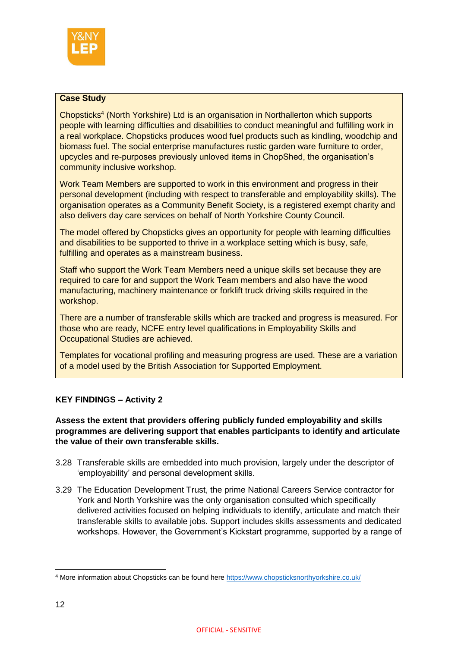

# **Case Study**

Chopsticks<sup>4</sup> (North Yorkshire) Ltd is an organisation in Northallerton which supports people with learning difficulties and disabilities to conduct meaningful and fulfilling work in a real workplace. Chopsticks produces wood fuel products such as kindling, woodchip and biomass fuel. The social enterprise manufactures rustic garden ware furniture to order, upcycles and re-purposes previously unloved items in ChopShed, the organisation's community inclusive workshop.

Work Team Members are supported to work in this environment and progress in their personal development (including with respect to transferable and employability skills). The organisation operates as a Community Benefit Society, is a registered exempt charity and also delivers day care services on behalf of North Yorkshire County Council.

The model offered by Chopsticks gives an opportunity for people with learning difficulties and disabilities to be supported to thrive in a workplace setting which is busy, safe, fulfilling and operates as a mainstream business.

Staff who support the Work Team Members need a unique skills set because they are required to care for and support the Work Team members and also have the wood manufacturing, machinery maintenance or forklift truck driving skills required in the workshop.

There are a number of transferable skills which are tracked and progress is measured. For those who are ready, NCFE entry level qualifications in Employability Skills and Occupational Studies are achieved.

Templates for vocational profiling and measuring progress are used. These are a variation of a model used by the British Association for Supported Employment.

# **KEY FINDINGS – Activity 2**

## **Assess the extent that providers offering publicly funded employability and skills programmes are delivering support that enables participants to identify and articulate the value of their own transferable skills.**

- 3.28 Transferable skills are embedded into much provision, largely under the descriptor of 'employability' and personal development skills.
- 3.29 The Education Development Trust, the prime National Careers Service contractor for York and North Yorkshire was the only organisation consulted which specifically delivered activities focused on helping individuals to identify, articulate and match their transferable skills to available jobs. Support includes skills assessments and dedicated workshops. However, the Government's Kickstart programme, supported by a range of

**<sup>.</sup>** <sup>4</sup> More information about Chopsticks can be found here<https://www.chopsticksnorthyorkshire.co.uk/>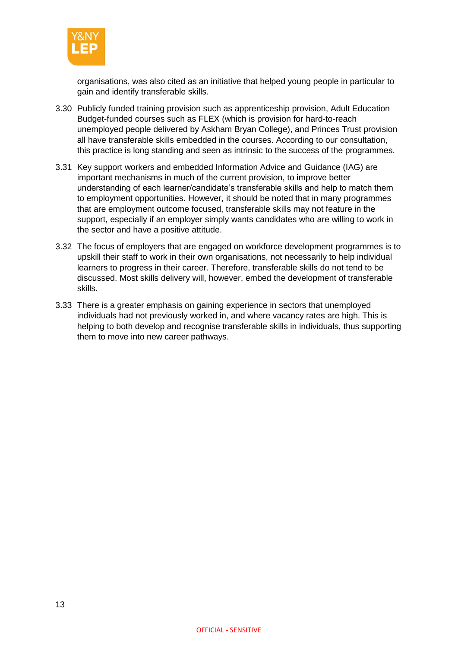

organisations, was also cited as an initiative that helped young people in particular to gain and identify transferable skills.

- 3.30 Publicly funded training provision such as apprenticeship provision, Adult Education Budget-funded courses such as FLEX (which is provision for hard-to-reach unemployed people delivered by Askham Bryan College), and Princes Trust provision all have transferable skills embedded in the courses. According to our consultation, this practice is long standing and seen as intrinsic to the success of the programmes.
- 3.31 Key support workers and embedded Information Advice and Guidance (IAG) are important mechanisms in much of the current provision, to improve better understanding of each learner/candidate's transferable skills and help to match them to employment opportunities. However, it should be noted that in many programmes that are employment outcome focused, transferable skills may not feature in the support, especially if an employer simply wants candidates who are willing to work in the sector and have a positive attitude.
- 3.32 The focus of employers that are engaged on workforce development programmes is to upskill their staff to work in their own organisations, not necessarily to help individual learners to progress in their career. Therefore, transferable skills do not tend to be discussed. Most skills delivery will, however, embed the development of transferable skills.
- 3.33 There is a greater emphasis on gaining experience in sectors that unemployed individuals had not previously worked in, and where vacancy rates are high. This is helping to both develop and recognise transferable skills in individuals, thus supporting them to move into new career pathways.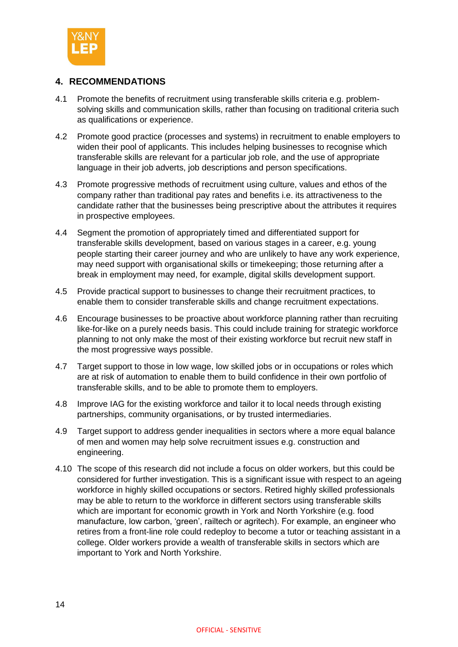

# <span id="page-14-0"></span>**4. RECOMMENDATIONS**

- 4.1 Promote the benefits of recruitment using transferable skills criteria e.g. problemsolving skills and communication skills, rather than focusing on traditional criteria such as qualifications or experience.
- 4.2 Promote good practice (processes and systems) in recruitment to enable employers to widen their pool of applicants. This includes helping businesses to recognise which transferable skills are relevant for a particular job role, and the use of appropriate language in their job adverts, job descriptions and person specifications.
- 4.3 Promote progressive methods of recruitment using culture, values and ethos of the company rather than traditional pay rates and benefits i.e. its attractiveness to the candidate rather that the businesses being prescriptive about the attributes it requires in prospective employees.
- 4.4 Segment the promotion of appropriately timed and differentiated support for transferable skills development, based on various stages in a career, e.g. young people starting their career journey and who are unlikely to have any work experience, may need support with organisational skills or timekeeping; those returning after a break in employment may need, for example, digital skills development support.
- 4.5 Provide practical support to businesses to change their recruitment practices, to enable them to consider transferable skills and change recruitment expectations.
- 4.6 Encourage businesses to be proactive about workforce planning rather than recruiting like-for-like on a purely needs basis. This could include training for strategic workforce planning to not only make the most of their existing workforce but recruit new staff in the most progressive ways possible.
- 4.7 Target support to those in low wage, low skilled jobs or in occupations or roles which are at risk of automation to enable them to build confidence in their own portfolio of transferable skills, and to be able to promote them to employers.
- 4.8 Improve IAG for the existing workforce and tailor it to local needs through existing partnerships, community organisations, or by trusted intermediaries.
- 4.9 Target support to address gender inequalities in sectors where a more equal balance of men and women may help solve recruitment issues e.g. construction and engineering.
- 4.10 The scope of this research did not include a focus on older workers, but this could be considered for further investigation. This is a significant issue with respect to an ageing workforce in highly skilled occupations or sectors. Retired highly skilled professionals may be able to return to the workforce in different sectors using transferable skills which are important for economic growth in York and North Yorkshire (e.g. food manufacture, low carbon, 'green', railtech or agritech). For example, an engineer who retires from a front-line role could redeploy to become a tutor or teaching assistant in a college. Older workers provide a wealth of transferable skills in sectors which are important to York and North Yorkshire.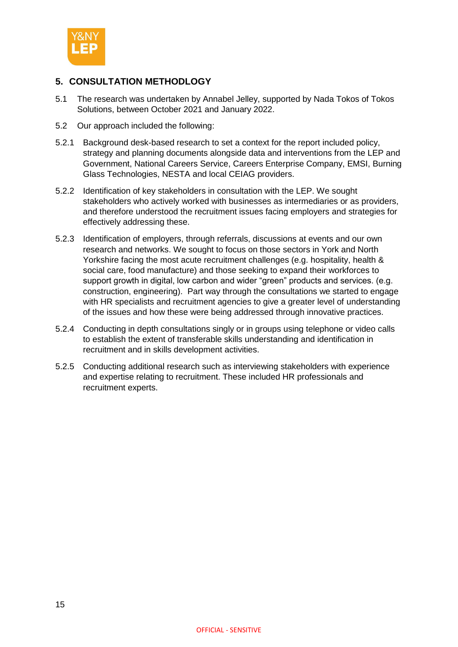

# <span id="page-15-0"></span>**5. CONSULTATION METHODLOGY**

- 5.1 The research was undertaken by Annabel Jelley, supported by Nada Tokos of Tokos Solutions, between October 2021 and January 2022.
- 5.2 Our approach included the following:
- 5.2.1 Background desk-based research to set a context for the report included policy, strategy and planning documents alongside data and interventions from the LEP and Government, National Careers Service, Careers Enterprise Company, EMSI, Burning Glass Technologies, NESTA and local CEIAG providers.
- 5.2.2 Identification of key stakeholders in consultation with the LEP. We sought stakeholders who actively worked with businesses as intermediaries or as providers, and therefore understood the recruitment issues facing employers and strategies for effectively addressing these.
- 5.2.3 Identification of employers, through referrals, discussions at events and our own research and networks. We sought to focus on those sectors in York and North Yorkshire facing the most acute recruitment challenges (e.g. hospitality, health & social care, food manufacture) and those seeking to expand their workforces to support growth in digital, low carbon and wider "green" products and services. (e.g. construction, engineering). Part way through the consultations we started to engage with HR specialists and recruitment agencies to give a greater level of understanding of the issues and how these were being addressed through innovative practices.
- 5.2.4 Conducting in depth consultations singly or in groups using telephone or video calls to establish the extent of transferable skills understanding and identification in recruitment and in skills development activities.
- 5.2.5 Conducting additional research such as interviewing stakeholders with experience and expertise relating to recruitment. These included HR professionals and recruitment experts.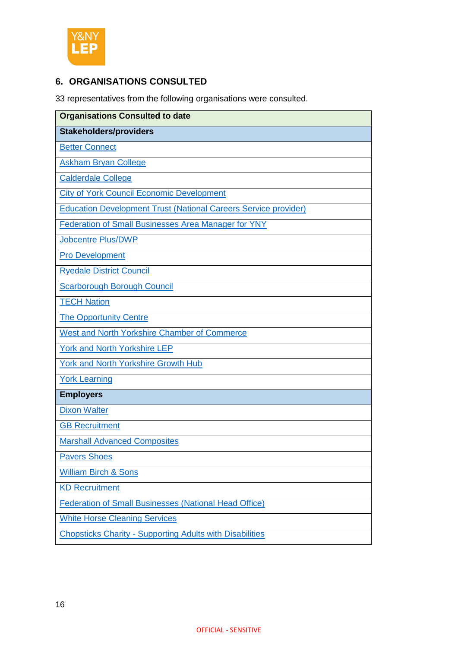

# <span id="page-16-0"></span>**6. ORGANISATIONS CONSULTED**

33 representatives from the following organisations were consulted.

| <b>Organisations Consulted to date</b>                                 |  |  |
|------------------------------------------------------------------------|--|--|
| <b>Stakeholders/providers</b>                                          |  |  |
| <b>Better Connect</b>                                                  |  |  |
| <b>Askham Bryan College</b>                                            |  |  |
| <b>Calderdale College</b>                                              |  |  |
| <b>City of York Council Economic Development</b>                       |  |  |
| <b>Education Development Trust (National Careers Service provider)</b> |  |  |
| Federation of Small Businesses Area Manager for YNY                    |  |  |
| <b>Jobcentre Plus/DWP</b>                                              |  |  |
| <b>Pro Development</b>                                                 |  |  |
| <b>Ryedale District Council</b>                                        |  |  |
| <b>Scarborough Borough Council</b>                                     |  |  |
| <b>TECH Nation</b>                                                     |  |  |
| <b>The Opportunity Centre</b>                                          |  |  |
| West and North Yorkshire Chamber of Commerce                           |  |  |
| <b>York and North Yorkshire LEP</b>                                    |  |  |
| York and North Yorkshire Growth Hub                                    |  |  |
| <b>York Learning</b>                                                   |  |  |
| <b>Employers</b>                                                       |  |  |
| <b>Dixon Walter</b>                                                    |  |  |
| <b>GB Recruitment</b>                                                  |  |  |
| <b>Marshall Advanced Composites</b>                                    |  |  |
| <b>Pavers Shoes</b>                                                    |  |  |
| <b>William Birch &amp; Sons</b>                                        |  |  |
| <b>KD Recruitment</b>                                                  |  |  |
| <b>Federation of Small Businesses (National Head Office)</b>           |  |  |
| <b>White Horse Cleaning Services</b>                                   |  |  |
| <b>Chopsticks Charity - Supporting Adults with Disabilities</b>        |  |  |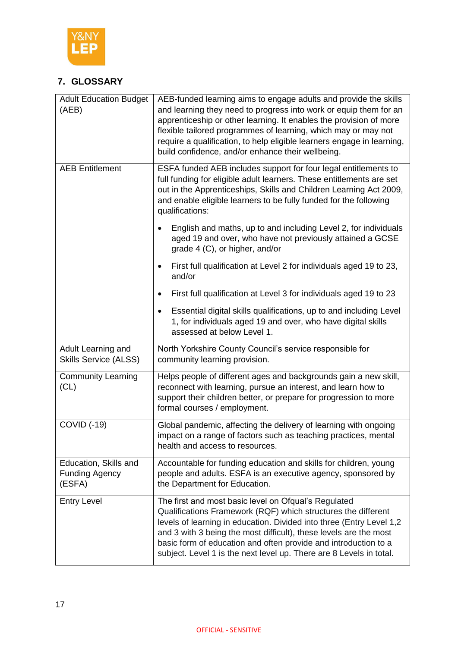

# <span id="page-17-0"></span>**7. GLOSSARY**

| <b>Adult Education Budget</b><br>(AEB)                   | AEB-funded learning aims to engage adults and provide the skills<br>and learning they need to progress into work or equip them for an<br>apprenticeship or other learning. It enables the provision of more<br>flexible tailored programmes of learning, which may or may not<br>require a qualification, to help eligible learners engage in learning,<br>build confidence, and/or enhance their wellbeing. |
|----------------------------------------------------------|--------------------------------------------------------------------------------------------------------------------------------------------------------------------------------------------------------------------------------------------------------------------------------------------------------------------------------------------------------------------------------------------------------------|
| <b>AEB Entitlement</b>                                   | ESFA funded AEB includes support for four legal entitlements to<br>full funding for eligible adult learners. These entitlements are set<br>out in the Apprenticeships, Skills and Children Learning Act 2009,<br>and enable eligible learners to be fully funded for the following<br>qualifications:                                                                                                        |
|                                                          | English and maths, up to and including Level 2, for individuals<br>$\bullet$<br>aged 19 and over, who have not previously attained a GCSE<br>grade 4 (C), or higher, and/or                                                                                                                                                                                                                                  |
|                                                          | First full qualification at Level 2 for individuals aged 19 to 23,<br>and/or                                                                                                                                                                                                                                                                                                                                 |
|                                                          | First full qualification at Level 3 for individuals aged 19 to 23<br>$\bullet$                                                                                                                                                                                                                                                                                                                               |
|                                                          | Essential digital skills qualifications, up to and including Level<br>$\bullet$<br>1, for individuals aged 19 and over, who have digital skills<br>assessed at below Level 1.                                                                                                                                                                                                                                |
| Adult Learning and<br><b>Skills Service (ALSS)</b>       | North Yorkshire County Council's service responsible for<br>community learning provision.                                                                                                                                                                                                                                                                                                                    |
| <b>Community Learning</b><br>(CL)                        | Helps people of different ages and backgrounds gain a new skill,<br>reconnect with learning, pursue an interest, and learn how to<br>support their children better, or prepare for progression to more<br>formal courses / employment.                                                                                                                                                                       |
| <b>COVID (-19)</b>                                       | Global pandemic, affecting the delivery of learning with ongoing<br>impact on a range of factors such as teaching practices, mental<br>health and access to resources.                                                                                                                                                                                                                                       |
| Education, Skills and<br><b>Funding Agency</b><br>(ESFA) | Accountable for funding education and skills for children, young<br>people and adults. ESFA is an executive agency, sponsored by<br>the Department for Education.                                                                                                                                                                                                                                            |
| <b>Entry Level</b>                                       | The first and most basic level on Ofqual's Regulated<br>Qualifications Framework (RQF) which structures the different<br>levels of learning in education. Divided into three (Entry Level 1,2<br>and 3 with 3 being the most difficult), these levels are the most<br>basic form of education and often provide and introduction to a<br>subject. Level 1 is the next level up. There are 8 Levels in total. |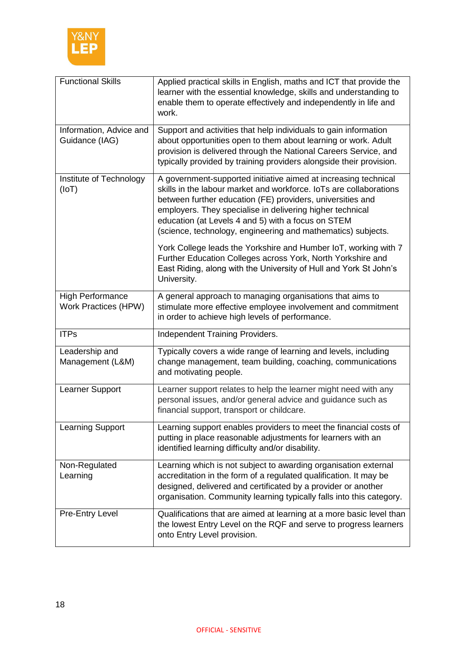

| <b>Functional Skills</b>                        | Applied practical skills in English, maths and ICT that provide the<br>learner with the essential knowledge, skills and understanding to<br>enable them to operate effectively and independently in life and<br>work.                                                                                                                                                                  |
|-------------------------------------------------|----------------------------------------------------------------------------------------------------------------------------------------------------------------------------------------------------------------------------------------------------------------------------------------------------------------------------------------------------------------------------------------|
| Information, Advice and<br>Guidance (IAG)       | Support and activities that help individuals to gain information<br>about opportunities open to them about learning or work. Adult<br>provision is delivered through the National Careers Service, and<br>typically provided by training providers alongside their provision.                                                                                                          |
| Institute of Technology<br>(IOT)                | A government-supported initiative aimed at increasing technical<br>skills in the labour market and workforce. IoTs are collaborations<br>between further education (FE) providers, universities and<br>employers. They specialise in delivering higher technical<br>education (at Levels 4 and 5) with a focus on STEM<br>(science, technology, engineering and mathematics) subjects. |
|                                                 | York College leads the Yorkshire and Humber IoT, working with 7<br>Further Education Colleges across York, North Yorkshire and<br>East Riding, along with the University of Hull and York St John's<br>University.                                                                                                                                                                     |
| <b>High Performance</b><br>Work Practices (HPW) | A general approach to managing organisations that aims to<br>stimulate more effective employee involvement and commitment<br>in order to achieve high levels of performance.                                                                                                                                                                                                           |
| <b>ITPs</b>                                     | Independent Training Providers.                                                                                                                                                                                                                                                                                                                                                        |
| Leadership and<br>Management (L&M)              | Typically covers a wide range of learning and levels, including<br>change management, team building, coaching, communications<br>and motivating people.                                                                                                                                                                                                                                |
| Learner Support                                 | Learner support relates to help the learner might need with any<br>personal issues, and/or general advice and guidance such as<br>financial support, transport or childcare.                                                                                                                                                                                                           |
| <b>Learning Support</b>                         | Learning support enables providers to meet the financial costs of<br>putting in place reasonable adjustments for learners with an<br>identified learning difficulty and/or disability.                                                                                                                                                                                                 |
| Non-Regulated<br>Learning                       | Learning which is not subject to awarding organisation external<br>accreditation in the form of a regulated qualification. It may be<br>designed, delivered and certificated by a provider or another<br>organisation. Community learning typically falls into this category.                                                                                                          |
| <b>Pre-Entry Level</b>                          | Qualifications that are aimed at learning at a more basic level than<br>the lowest Entry Level on the RQF and serve to progress learners<br>onto Entry Level provision.                                                                                                                                                                                                                |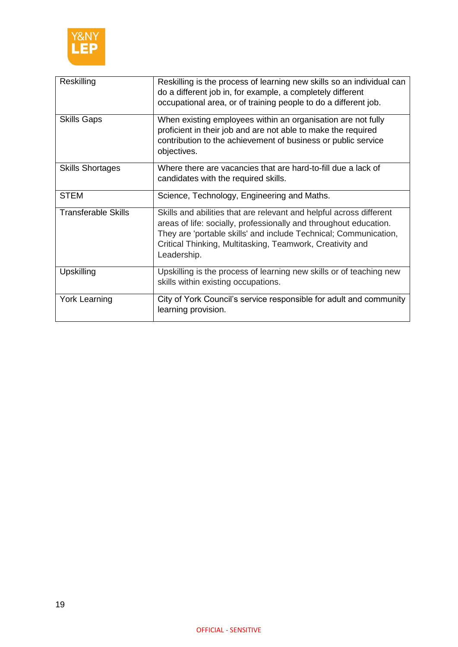

| Reskilling                 | Reskilling is the process of learning new skills so an individual can<br>do a different job in, for example, a completely different<br>occupational area, or of training people to do a different job.                                                                                   |
|----------------------------|------------------------------------------------------------------------------------------------------------------------------------------------------------------------------------------------------------------------------------------------------------------------------------------|
| <b>Skills Gaps</b>         | When existing employees within an organisation are not fully<br>proficient in their job and are not able to make the required<br>contribution to the achievement of business or public service<br>objectives.                                                                            |
| <b>Skills Shortages</b>    | Where there are vacancies that are hard-to-fill due a lack of<br>candidates with the required skills.                                                                                                                                                                                    |
| <b>STEM</b>                | Science, Technology, Engineering and Maths.                                                                                                                                                                                                                                              |
| <b>Transferable Skills</b> | Skills and abilities that are relevant and helpful across different<br>areas of life: socially, professionally and throughout education.<br>They are 'portable skills' and include Technical; Communication,<br>Critical Thinking, Multitasking, Teamwork, Creativity and<br>Leadership. |
| Upskilling                 | Upskilling is the process of learning new skills or of teaching new<br>skills within existing occupations.                                                                                                                                                                               |
| <b>York Learning</b>       | City of York Council's service responsible for adult and community<br>learning provision.                                                                                                                                                                                                |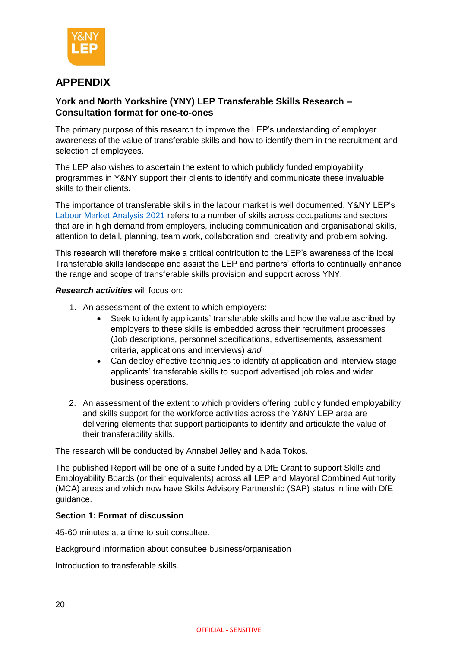

# <span id="page-20-0"></span>**APPENDIX**

# **York and North Yorkshire (YNY) LEP Transferable Skills Research – Consultation format for one-to-ones**

The primary purpose of this research to improve the LEP's understanding of employer awareness of the value of transferable skills and how to identify them in the recruitment and selection of employees.

The LEP also wishes to ascertain the extent to which publicly funded employability programmes in Y&NY support their clients to identify and communicate these invaluable skills to their clients.

The importance of transferable skills in the labour market is well documented. Y&NY LEP's [Labour Market Analysis 2021](https://www.ynylep.com/Portals/0/adam/Stories/OhqqpV3Rg0aL68WCU08pNA/Body/83388%20LEP%20Labour%20Market%20Analysis%202021%20A4_single%20pages.pdf) refers to a number of skills across occupations and sectors that are in high demand from employers, including communication and organisational skills, attention to detail, planning, team work, collaboration and creativity and problem solving.

This research will therefore make a critical contribution to the LEP's awareness of the local Transferable skills landscape and assist the LEP and partners' efforts to continually enhance the range and scope of transferable skills provision and support across YNY.

# *Research activities* will focus on:

- 1. An assessment of the extent to which employers:
	- Seek to identify applicants' transferable skills and how the value ascribed by employers to these skills is embedded across their recruitment processes (Job descriptions, personnel specifications, advertisements, assessment criteria, applications and interviews) *and*
	- Can deploy effective techniques to identify at application and interview stage applicants' transferable skills to support advertised job roles and wider business operations.
- 2. An assessment of the extent to which providers offering publicly funded employability and skills support for the workforce activities across the Y&NY LEP area are delivering elements that support participants to identify and articulate the value of their transferability skills.

The research will be conducted by Annabel Jelley and Nada Tokos.

The published Report will be one of a suite funded by a DfE Grant to support Skills and Employability Boards (or their equivalents) across all LEP and Mayoral Combined Authority (MCA) areas and which now have Skills Advisory Partnership (SAP) status in line with DfE guidance.

#### **Section 1: Format of discussion**

45-60 minutes at a time to suit consultee.

Background information about consultee business/organisation

Introduction to transferable skills.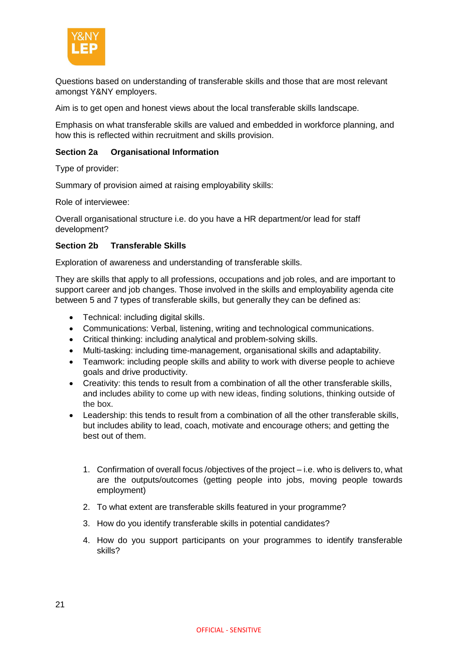

Questions based on understanding of transferable skills and those that are most relevant amongst Y&NY employers.

Aim is to get open and honest views about the local transferable skills landscape.

Emphasis on what transferable skills are valued and embedded in workforce planning, and how this is reflected within recruitment and skills provision.

## **Section 2a Organisational Information**

Type of provider:

Summary of provision aimed at raising employability skills:

Role of interviewee:

Overall organisational structure i.e. do you have a HR department/or lead for staff development?

#### **Section 2b Transferable Skills**

Exploration of awareness and understanding of transferable skills.

They are skills that apply to all professions, occupations and job roles, and are important to support career and job changes. Those involved in the skills and employability agenda cite between 5 and 7 types of transferable skills, but generally they can be defined as:

- Technical: including digital skills.
- Communications: Verbal, listening, writing and technological communications.
- Critical thinking: including analytical and problem-solving skills.
- Multi-tasking: including time-management, organisational skills and adaptability.
- Teamwork: including people skills and ability to work with diverse people to achieve goals and drive productivity.
- Creativity: this tends to result from a combination of all the other transferable skills, and includes ability to come up with new ideas, finding solutions, thinking outside of the box.
- Leadership: this tends to result from a combination of all the other transferable skills, but includes ability to lead, coach, motivate and encourage others; and getting the best out of them.
	- 1. Confirmation of overall focus /objectives of the project i.e. who is delivers to, what are the outputs/outcomes (getting people into jobs, moving people towards employment)
	- 2. To what extent are transferable skills featured in your programme?
	- 3. How do you identify transferable skills in potential candidates?
	- 4. How do you support participants on your programmes to identify transferable skills?